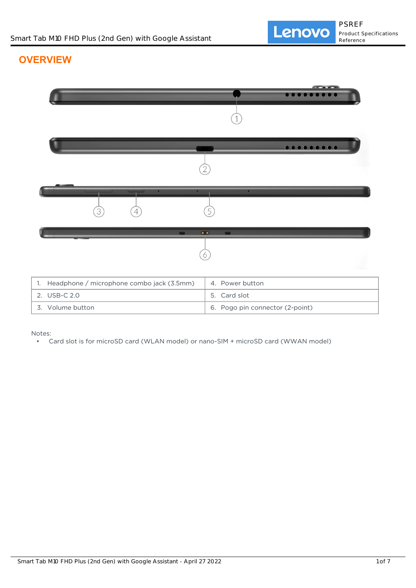# **OVERVIEW**

|                                                 | $0 0 0 0 0 0 0 0 0 0$           |
|-------------------------------------------------|---------------------------------|
|                                                 |                                 |
|                                                 |                                 |
|                                                 |                                 |
| 3<br>4                                          | 5                               |
|                                                 |                                 |
| $\bullet$                                       |                                 |
| 6                                               |                                 |
|                                                 |                                 |
| Headphone / microphone combo jack (3.5mm)<br>1. | 4. Power button                 |
| 2. USB-C 2.0                                    | 5. Card slot                    |
| 3. Volume button                                | 6. Pogo pin connector (2-point) |

Notes:

• Card slot is for microSD card (WLAN model) or nano-SIM + microSD card (WWAN model)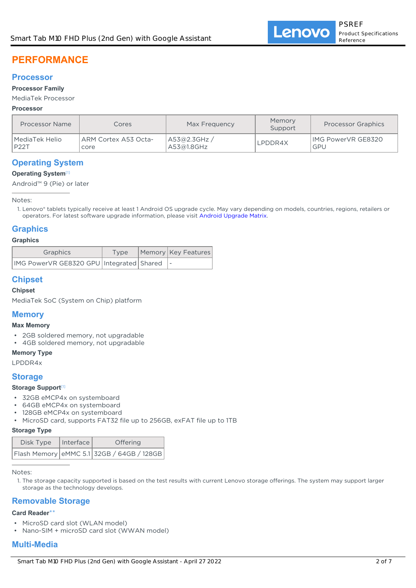# **PERFORMANCE**

### **Processor**

#### **Processor Family**

#### MediaTek Processor

#### **Processor**

| <b>Processor Name</b> | Cores                | Max Frequency | Memory<br>Support | <b>Processor Graphics</b> |
|-----------------------|----------------------|---------------|-------------------|---------------------------|
| MediaTek Helio        | ARM Cortex A53 Octa- | A53@2.3GHz /  | LPDDR4X           | <b>IMG PowerVR GE8320</b> |
| P22T                  | core                 | A53@1.8GHz    |                   | GPU                       |

## **Operating System**

#### **Operating System**[1]

Android™ 9 (Pie) or later

Notes:

Lenovo® tablets typically receive at least 1 Android OS upgrade cycle. May vary depending on models, countries, regions, retailers or 1. operators. For latest software upgrade information, please visit [Android Upgrade Matrix.](https://support.lenovo.com/solutions/ht501098)

## **Graphics**

#### **Graphics**

| Graphics                                        | Type | Memory   Key Features |
|-------------------------------------------------|------|-----------------------|
| IMG PowerVR GE8320 GPU   Integrated   Shared  - |      |                       |

## **Chipset**

## **Chipset**

MediaTek SoC (System on Chip) platform

## **Memory**

#### **Max Memory**

- 2GB soldered memory, not upgradable
- 4GB soldered memory, not upgradable

#### **Memory Type**

LPDDR4x

#### **Storage**

#### **Storage Support**[1]

- 32GB eMCP4x on systemboard
- 64GB eMCP4x on systemboard
- 128GB eMCP4x on systemboard
- MicroSD card, supports FAT32 file up to 256GB, exFAT file up to 1TB

#### **Storage Type**

| Disk Type | Interface | <b>Offering</b>                                       |
|-----------|-----------|-------------------------------------------------------|
|           |           | $ $ Flash Memory $ $ eMMC 5.1 32GB / 64GB / 128GB $ $ |

Notes:

1. The storage capacity supported is based on the test results with current Lenovo storage offerings. The system may support larger storage as the technology develops.

## **Removable Storage**

#### **Card Reader**\*\*

- MicroSD card slot (WLAN model)
- Nano-SIM + microSD card slot (WWAN model)

## **Multi-Media**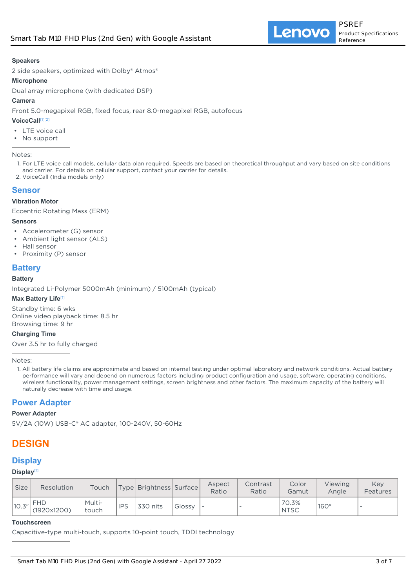#### **Speakers**

2 side speakers, optimized with Dolby® Atmos®

#### **Microphone**

Dual array microphone (with dedicated DSP)

#### **Camera**

Front 5.0-megapixel RGB, fixed focus, rear 8.0-megapixel RGB, autofocus

#### **VoiceCall**[1][2]

- LTE voice call
- No support

Notes:

- 1. For LTE voice call models, cellular data plan required. Speeds are based on theoretical throughput and vary based on site conditions and carrier. For details on cellular support, contact your carrier for details.
- 2. VoiceCall (India models only)

#### **Sensor**

#### **Vibration Motor**

Eccentric Rotating Mass (ERM)

#### **Sensors**

- Accelerometer (G) sensor
- Ambient light sensor (ALS)
- Hall sensor
- Proximity (P) sensor

## **Battery**

#### **Battery**

Integrated Li-Polymer 5000mAh (minimum) / 5100mAh (typical)

#### **Max Battery Life**[1]

Standby time: 6 wks Online video playback time: 8.5 hr Browsing time: 9 hr

#### **Charging Time**

Over 3.5 hr to fully charged

Notes:

All battery life claims are approximate and based on internal testing under optimal laboratory and network conditions. Actual battery 1. performance will vary and depend on numerous factors including product configuration and usage, software, operating conditions, wireless functionality, power management settings, screen brightness and other factors. The maximum capacity of the battery will naturally decrease with time and usage.

## **Power Adapter**

#### **Power Adapter**

5V/2A (10W) USB-C® AC adapter, 100-240V, 50-60Hz

# **DESIGN**

## **Display**

#### **Display**[1]

| <b>Size</b> | Resolution          | Touch           |            | Type   Brightness   Surface |        | Aspect<br>Ratio | Contrast<br>Ratio        | Color<br>Gamut       | Viewing<br>Anale | Kev<br>Features |
|-------------|---------------------|-----------------|------------|-----------------------------|--------|-----------------|--------------------------|----------------------|------------------|-----------------|
| 10.3''      | `FHD<br>(1920x1200) | Multi-<br>touch | <b>IPS</b> | 330 nits                    | Glossy |                 | $\overline{\phantom{a}}$ | 70.3%<br><b>NTSC</b> | $160^\circ$      |                 |

#### **Touchscreen**

Capacitive-type multi-touch, supports 10-point touch, TDDI technology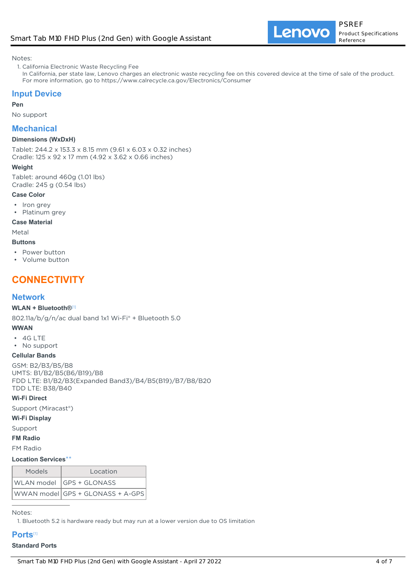Notes:

1. California Electronic Waste Recycling Fee

In California, per state law, Lenovo charges an electronic waste recycling fee on this covered device at the time of sale of the product. For more information, go to https://www.calrecycle.ca.gov/Electronics/Consumer

## **Input Device**

#### **Pen**

No support

## **Mechanical**

#### **Dimensions (WxDxH)**

Tablet: 244.2 x 153.3 x 8.15 mm (9.61 x 6.03 x 0.32 inches) Cradle: 125 x 92 x 17 mm (4.92 x 3.62 x 0.66 inches)

#### **Weight**

Tablet: around 460g (1.01 lbs) Cradle: 245 g (0.54 lbs)

#### **Case Color**

- Iron grey
- Platinum grey

#### **Case Material**

Metal

- **Buttons**
- Power button
- Volume button

# **CONNECTIVITY**

### **Network**

#### **WLAN + Bluetooth®**[1]

802.11a/b/g/n/ac dual band 1x1 Wi-Fi® + Bluetooth 5.0

#### **WWAN**

- 4G LTE
- No support

#### **Cellular Bands**

GSM: B2/B3/B5/B8 UMTS: B1/B2/B5(B6/B19)/B8 FDD LTE: B1/B2/B3(Expanded Band3)/B4/B5(B19)/B7/B8/B20 TDD LTE: B38/B40

#### **Wi-Fi Direct**

Support (Miracast®)

#### **Wi-Fi Display**

Support

**FM Radio**

FM Radio

#### **Location Services**\*\*

| <b>Models</b> | Location                         |
|---------------|----------------------------------|
|               | WLAN model GPS + GLONASS         |
|               | WWAN model GPS + GLONASS + A-GPS |

Notes:

1. Bluetooth 5.2 is hardware ready but may run at a lower version due to OS limitation

#### **Ports**[1]

#### **Standard Ports**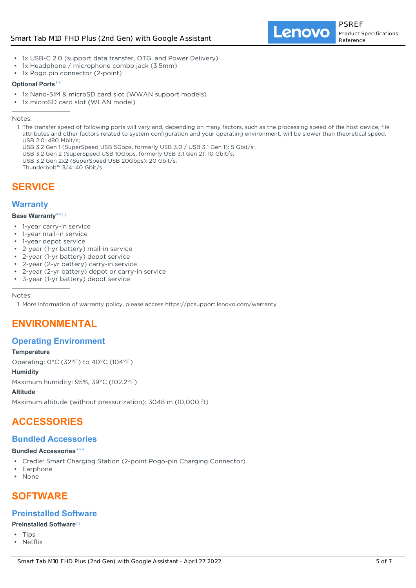- 1x USB-C 2.0 (support data transfer, OTG, and Power Delivery)
- 1x Headphone / microphone combo jack (3.5mm)
- 1x Pogo pin connector (2-point)

#### **Optional Ports**\*\*

- 1x Nano-SIM & microSD card slot (WWAN support models)
- 1x microSD card slot (WLAN model)

Notes:

1. The transfer speed of following ports will vary and, depending on many factors, such as the processing speed of the host device, file attributes and other factors related to system configuration and your operating environment, will be slower than theoretical speed. USB 2.0: 480 Mbit/s;

USB 3.2 Gen 1 (SuperSpeed USB 5Gbps, formerly USB 3.0 / USB 3.1 Gen 1): 5 Gbit/s;

- USB 3.2 Gen 2 (SuperSpeed USB 10Gbps, formerly USB 3.1 Gen 2): 10 Gbit/s;
- USB 3.2 Gen 2x2 (SuperSpeed USB 20Gbps): 20 Gbit/s;

Thunderbolt™ 3/4: 40 Gbit/s

# **SERVICE**

## **Warranty**

#### **Base Warranty**\*\* [1]

- 1-year carry-in service
- 1-year mail-in service
- 1-year depot service
- 2-year (1-yr battery) mail-in service
- 2-year (1-yr battery) depot service
- 2-year (2-yr battery) carry-in service
- 2-year (2-yr battery) depot or carry-in service
- 3-year (1-yr battery) depot service

Notes:

1. More information of warranty policy, please access https://pcsupport.lenovo.com/warranty

# **ENVIRONMENTAL**

## **Operating Environment**

#### **Temperature**

Operating: 0°C (32°F) to 40°C (104°F)

#### **Humidity**

Maximum humidity: 95%, 39°C (102.2°F)

#### **Altitude**

Maximum altitude (without pressurization): 3048 m (10,000 ft)

# **ACCESSORIES**

## **Bundled Accessories**

#### **Bundled Accessories**\*\*\*

- Cradle: Smart Charging Station (2-point Pogo-pin Charging Connector)
- Earphone
- None

# **SOFTWARE**

## **Preinstalled Software**

#### **Preinstalled Software**[1]

- Tips
- Netflix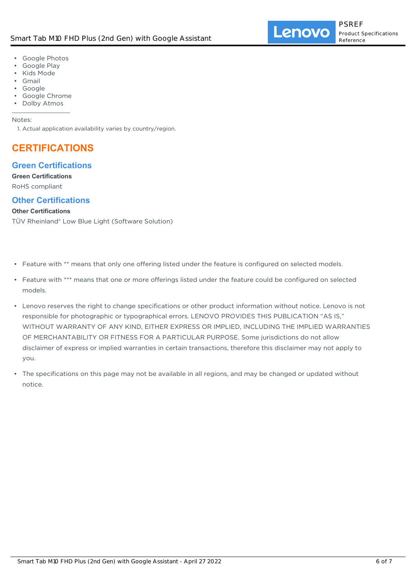- Google Photos
- Google Play
- Kids Mode
- Gmail
- Google
- Google Chrome
- Dolby Atmos

#### Notes:

1. Actual application availability varies by country/region.

# **CERTIFICATIONS**

## **Green Certifications**

#### **Green Certifications**

RoHS compliant

## **Other Certifications**

#### **Other Certifications**

TÜV Rheinland® Low Blue Light (Software Solution)

- Feature with \*\* means that only one offering listed under the feature is configured on selected models.
- Feature with \*\*\* means that one or more offerings listed under the feature could be configured on selected models.
- Lenovo reserves the right to change specifications or other product information without notice. Lenovo is not responsible for photographic or typographical errors. LENOVO PROVIDES THIS PUBLICATION "AS IS," WITHOUT WARRANTY OF ANY KIND, EITHER EXPRESS OR IMPLIED, INCLUDING THE IMPLIED WARRANTIES OF MERCHANTABILITY OR FITNESS FOR A PARTICULAR PURPOSE. Some jurisdictions do not allow disclaimer of express or implied warranties in certain transactions, therefore this disclaimer may not apply to you.
- The specifications on this page may not be available in all regions, and may be changed or updated without notice. •